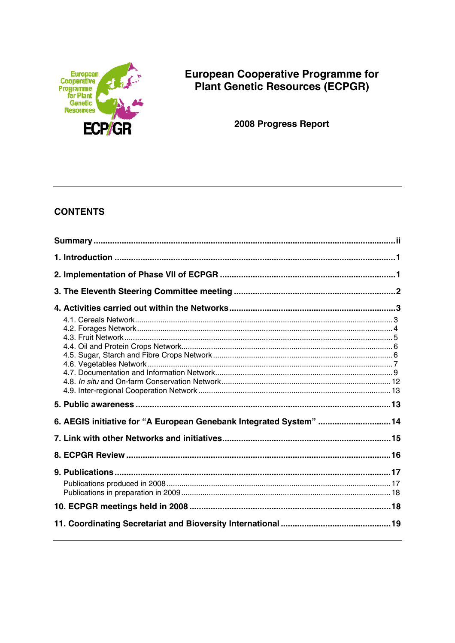

# **European Cooperative Programme for** Plant Genetic Resources (ECPGR)

2008 Progress Report

## **CONTENTS**

| 6. AEGIS initiative for "A European Genebank Integrated System"  14 |  |
|---------------------------------------------------------------------|--|
|                                                                     |  |
|                                                                     |  |
|                                                                     |  |
|                                                                     |  |
|                                                                     |  |
|                                                                     |  |
|                                                                     |  |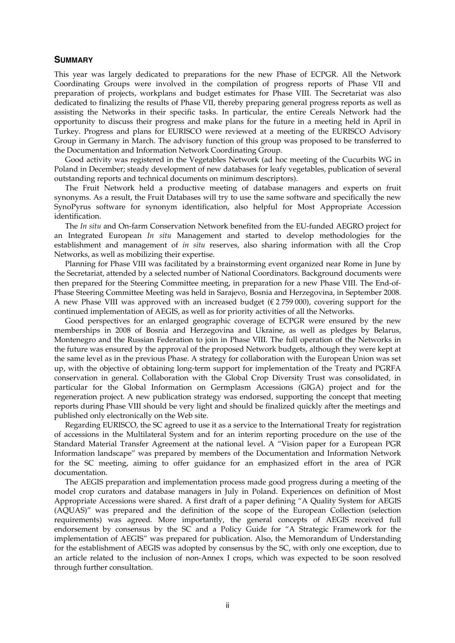#### **SUMMARY**

This year was largely dedicated to preparations for the new Phase of ECPGR. All the Network Coordinating Groups were involved in the compilation of progress reports of Phase VII and preparation of projects, workplans and budget estimates for Phase VIII. The Secretariat was also dedicated to finalizing the results of Phase VII, thereby preparing general progress reports as well as assisting the Networks in their specific tasks. In particular, the entire Cereals Network had the opportunity to discuss their progress and make plans for the future in a meeting held in April in Turkey. Progress and plans for EURISCO were reviewed at a meeting of the EURISCO Advisory Group in Germany in March. The advisory function of this group was proposed to be transferred to the Documentation and Information Network Coordinating Group.

 Good activity was registered in the Vegetables Network (ad hoc meeting of the Cucurbits WG in Poland in December; steady development of new databases for leafy vegetables, publication of several outstanding reports and technical documents on minimum descriptors).

 The Fruit Network held a productive meeting of database managers and experts on fruit synonyms. As a result, the Fruit Databases will try to use the same software and specifically the new SynoPyrus software for synonym identification, also helpful for Most Appropriate Accession identification.

 The *In situ* and On-farm Conservation Network benefited from the EU-funded AEGRO project for an Integrated European *In situ* Management and started to develop methodologies for the establishment and management of *in situ* reserves, also sharing information with all the Crop Networks, as well as mobilizing their expertise.

 Planning for Phase VIII was facilitated by a brainstorming event organized near Rome in June by the Secretariat, attended by a selected number of National Coordinators. Background documents were then prepared for the Steering Committee meeting, in preparation for a new Phase VIII. The End-of-Phase Steering Committee Meeting was held in Sarajevo, Bosnia and Herzegovina, in September 2008. A new Phase VIII was approved with an increased budget ( $\epsilon$  2759 000), covering support for the continued implementation of AEGIS, as well as for priority activities of all the Networks.

 Good perspectives for an enlarged geographic coverage of ECPGR were ensured by the new memberships in 2008 of Bosnia and Herzegovina and Ukraine, as well as pledges by Belarus, Montenegro and the Russian Federation to join in Phase VIII. The full operation of the Networks in the future was ensured by the approval of the proposed Network budgets, although they were kept at the same level as in the previous Phase. A strategy for collaboration with the European Union was set up, with the objective of obtaining long-term support for implementation of the Treaty and PGRFA conservation in general. Collaboration with the Global Crop Diversity Trust was consolidated, in particular for the Global Information on Germplasm Accessions (GIGA) project and for the regeneration project. A new publication strategy was endorsed, supporting the concept that meeting reports during Phase VIII should be very light and should be finalized quickly after the meetings and published only electronically on the Web site.

 Regarding EURISCO, the SC agreed to use it as a service to the International Treaty for registration of accessions in the Multilateral System and for an interim reporting procedure on the use of the Standard Material Transfer Agreement at the national level. A "Vision paper for a European PGR Information landscape" was prepared by members of the Documentation and Information Network for the SC meeting, aiming to offer guidance for an emphasized effort in the area of PGR documentation.

 The AEGIS preparation and implementation process made good progress during a meeting of the model crop curators and database managers in July in Poland. Experiences on definition of Most Appropriate Accessions were shared. A first draft of a paper defining "A Quality System for AEGIS (AQUAS)" was prepared and the definition of the scope of the European Collection (selection requirements) was agreed. More importantly, the general concepts of AEGIS received full endorsement by consensus by the SC and a Policy Guide for "A Strategic Framework for the implementation of AEGIS" was prepared for publication. Also, the Memorandum of Understanding for the establishment of AEGIS was adopted by consensus by the SC, with only one exception, due to an article related to the inclusion of non-Annex I crops, which was expected to be soon resolved through further consultation.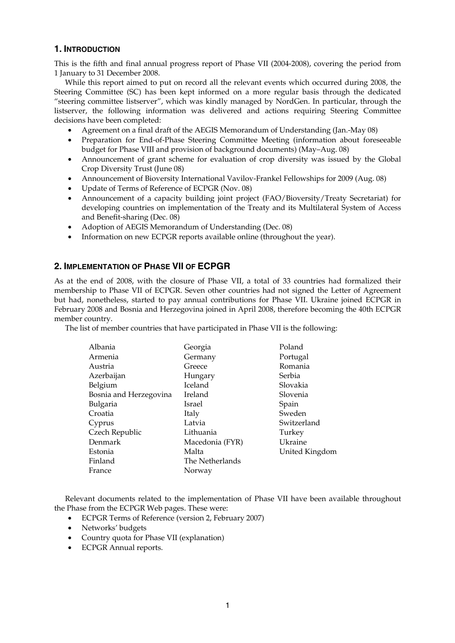## **1. INTRODUCTION**

This is the fifth and final annual progress report of Phase VII (2004-2008), covering the period from 1 January to 31 December 2008.

 While this report aimed to put on record all the relevant events which occurred during 2008, the Steering Committee (SC) has been kept informed on a more regular basis through the dedicated "steering committee listserver", which was kindly managed by NordGen. In particular, through the listserver, the following information was delivered and actions requiring Steering Committee decisions have been completed:

- Agreement on a final draft of the AEGIS Memorandum of Understanding (Jan.-May 08)
- Preparation for End-of-Phase Steering Committee Meeting (information about foreseeable budget for Phase VIII and provision of background documents) (May–Aug. 08)
- Announcement of grant scheme for evaluation of crop diversity was issued by the Global Crop Diversity Trust (June 08)
- Announcement of Bioversity International Vavilov-Frankel Fellowships for 2009 (Aug. 08)
- Update of Terms of Reference of ECPGR (Nov. 08)
- Announcement of a capacity building joint project (FAO/Bioversity/Treaty Secretariat) for developing countries on implementation of the Treaty and its Multilateral System of Access and Benefit-sharing (Dec. 08)
- Adoption of AEGIS Memorandum of Understanding (Dec. 08)
- Information on new ECPGR reports available online (throughout the year).

## **2. IMPLEMENTATION OF PHASE VII OF ECPGR**

As at the end of 2008, with the closure of Phase VII, a total of 33 countries had formalized their membership to Phase VII of ECPGR. Seven other countries had not signed the Letter of Agreement but had, nonetheless, started to pay annual contributions for Phase VII. Ukraine joined ECPGR in February 2008 and Bosnia and Herzegovina joined in April 2008, therefore becoming the 40th ECPGR member country.

The list of member countries that have participated in Phase VII is the following:

| Albania                | Georgia         | Poland         |
|------------------------|-----------------|----------------|
| Armenia                | Germany         | Portugal       |
| Austria                | Greece          | Romania        |
| Azerbaijan             | Hungary         | Serbia         |
| Belgium                | Iceland         | Slovakia       |
| Bosnia and Herzegovina | Ireland         | Slovenia       |
| Bulgaria               | Israel          | Spain          |
| Croatia                | Italy           | Sweden         |
| Cyprus                 | Latvia          | Switzerland    |
| Czech Republic         | Lithuania       | Turkey         |
| Denmark                | Macedonia (FYR) | Ukraine        |
| Estonia                | Malta           | United Kingdom |
| Finland                | The Netherlands |                |
| France                 | Norway          |                |
|                        |                 |                |

 Relevant documents related to the implementation of Phase VII have been available throughout the Phase from the ECPGR Web pages. These were:

- ECPGR Terms of Reference (version 2, February 2007)
- Networks' budgets
- Country quota for Phase VII (explanation)
- ECPGR Annual reports.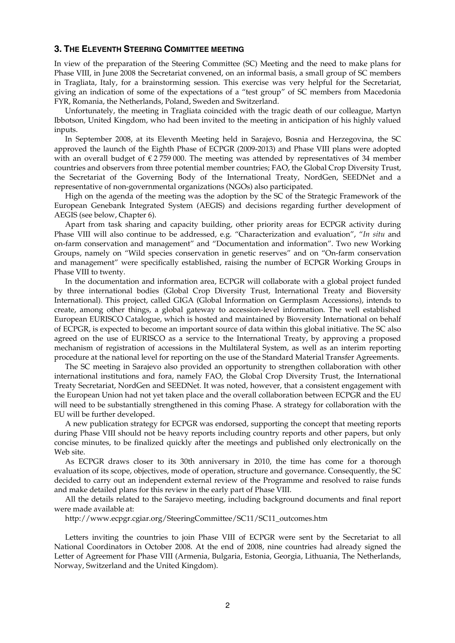#### **3. THE ELEVENTH STEERING COMMITTEE MEETING**

In view of the preparation of the Steering Committee (SC) Meeting and the need to make plans for Phase VIII, in June 2008 the Secretariat convened, on an informal basis, a small group of SC members in Tragliata, Italy, for a brainstorming session. This exercise was very helpful for the Secretariat, giving an indication of some of the expectations of a "test group" of SC members from Macedonia FYR, Romania, the Netherlands, Poland, Sweden and Switzerland.

 Unfortunately, the meeting in Tragliata coincided with the tragic death of our colleague, Martyn Ibbotson, United Kingdom, who had been invited to the meeting in anticipation of his highly valued inputs.

 In September 2008, at its Eleventh Meeting held in Sarajevo, Bosnia and Herzegovina, the SC approved the launch of the Eighth Phase of ECPGR (2009-2013) and Phase VIII plans were adopted with an overall budget of  $\epsilon$  2759 000. The meeting was attended by representatives of 34 member countries and observers from three potential member countries; FAO, the Global Crop Diversity Trust, the Secretariat of the Governing Body of the International Treaty, NordGen, SEEDNet and a representative of non-governmental organizations (NGOs) also participated.

 High on the agenda of the meeting was the adoption by the SC of the Strategic Framework of the European Genebank Integrated System (AEGIS) and decisions regarding further development of AEGIS (see below, Chapter 6).

 Apart from task sharing and capacity building, other priority areas for ECPGR activity during Phase VIII will also continue to be addressed, e.g. "Characterization and evaluation", "*In situ* and on-farm conservation and management" and "Documentation and information". Two new Working Groups, namely on "Wild species conservation in genetic reserves" and on "On-farm conservation and management" were specifically established, raising the number of ECPGR Working Groups in Phase VIII to twenty.

 In the documentation and information area, ECPGR will collaborate with a global project funded by three international bodies (Global Crop Diversity Trust, International Treaty and Bioversity International). This project, called GIGA (Global Information on Germplasm Accessions), intends to create, among other things, a global gateway to accession-level information. The well established European EURISCO Catalogue, which is hosted and maintained by Bioversity International on behalf of ECPGR, is expected to become an important source of data within this global initiative. The SC also agreed on the use of EURISCO as a service to the International Treaty, by approving a proposed mechanism of registration of accessions in the Multilateral System, as well as an interim reporting procedure at the national level for reporting on the use of the Standard Material Transfer Agreements.

 The SC meeting in Sarajevo also provided an opportunity to strengthen collaboration with other international institutions and fora, namely FAO, the Global Crop Diversity Trust, the International Treaty Secretariat, NordGen and SEEDNet. It was noted, however, that a consistent engagement with the European Union had not yet taken place and the overall collaboration between ECPGR and the EU will need to be substantially strengthened in this coming Phase. A strategy for collaboration with the EU will be further developed.

 A new publication strategy for ECPGR was endorsed, supporting the concept that meeting reports during Phase VIII should not be heavy reports including country reports and other papers, but only concise minutes, to be finalized quickly after the meetings and published only electronically on the Web site.

 As ECPGR draws closer to its 30th anniversary in 2010, the time has come for a thorough evaluation of its scope, objectives, mode of operation, structure and governance. Consequently, the SC decided to carry out an independent external review of the Programme and resolved to raise funds and make detailed plans for this review in the early part of Phase VIII.

 All the details related to the Sarajevo meeting, including background documents and final report were made available at:

http://www.ecpgr.cgiar.org/SteeringCommittee/SC11/SC11\_outcomes.htm

 Letters inviting the countries to join Phase VIII of ECPGR were sent by the Secretariat to all National Coordinators in October 2008. At the end of 2008, nine countries had already signed the Letter of Agreement for Phase VIII (Armenia, Bulgaria, Estonia, Georgia, Lithuania, The Netherlands, Norway, Switzerland and the United Kingdom).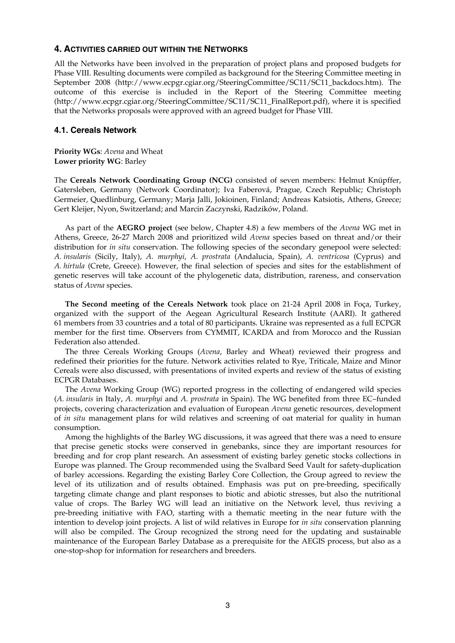### **4. ACTIVITIES CARRIED OUT WITHIN THE NETWORKS**

All the Networks have been involved in the preparation of project plans and proposed budgets for Phase VIII. Resulting documents were compiled as background for the Steering Committee meeting in September 2008 (http://www.ecpgr.cgiar.org/SteeringCommittee/SC11/SC11\_backdocs.htm). The outcome of this exercise is included in the Report of the Steering Committee meeting (http://www.ecpgr.cgiar.org/SteeringCommittee/SC11/SC11\_FinalReport.pdf), where it is specified that the Networks proposals were approved with an agreed budget for Phase VIII.

#### **4.1. Cereals Network**

**Priority WGs**: *Avena* and Wheat **Lower priority WG**: Barley

The **Cereals Network Coordinating Group (NCG)** consisted of seven members: Helmut Knüpffer, Gatersleben, Germany (Network Coordinator); Iva Faberová, Prague, Czech Republic; Christoph Germeier, Quedlinburg, Germany; Marja Jalli, Jokioinen, Finland; Andreas Katsiotis, Athens, Greece; Gert Kleijer, Nyon, Switzerland; and Marcin Zaczynski, Radzików, Poland.

As part of the **AEGRO project** (see below, Chapter 4.8) a few members of the *Avena* WG met in Athens, Greece, 26-27 March 2008 and prioritized wild *Avena* species based on threat and/or their distribution for *in situ* conservation. The following species of the secondary genepool were selected: *A. insularis* (Sicily, Italy), *A. murphyi*, *A. prostrata* (Andalucia, Spain), *A. ventricosa* (Cyprus) and *A. hirtula* (Crete, Greece). However, the final selection of species and sites for the establishment of genetic reserves will take account of the phylogenetic data, distribution, rareness, and conservation status of *Avena* species.

 **The Second meeting of the Cereals Network** took place on 21-24 April 2008 in Foça, Turkey, organized with the support of the Aegean Agricultural Research Institute (AARI). It gathered 61 members from 33 countries and a total of 80 participants. Ukraine was represented as a full ECPGR member for the first time. Observers from CYMMIT, ICARDA and from Morocco and the Russian Federation also attended.

 The three Cereals Working Groups (*Avena*, Barley and Wheat) reviewed their progress and redefined their priorities for the future. Network activities related to Rye, Triticale, Maize and Minor Cereals were also discussed, with presentations of invited experts and review of the status of existing ECPGR Databases.

 The *Avena* Working Group (WG) reported progress in the collecting of endangered wild species (*A. insularis* in Italy, *A. murphyi* and *A. prostrata* in Spain). The WG benefited from three EC–funded projects, covering characterization and evaluation of European *Avena* genetic resources, development of *in situ* management plans for wild relatives and screening of oat material for quality in human consumption.

 Among the highlights of the Barley WG discussions, it was agreed that there was a need to ensure that precise genetic stocks were conserved in genebanks, since they are important resources for breeding and for crop plant research. An assessment of existing barley genetic stocks collections in Europe was planned. The Group recommended using the Svalbard Seed Vault for safety-duplication of barley accessions. Regarding the existing Barley Core Collection, the Group agreed to review the level of its utilization and of results obtained. Emphasis was put on pre-breeding, specifically targeting climate change and plant responses to biotic and abiotic stresses, but also the nutritional value of crops. The Barley WG will lead an initiative on the Network level, thus reviving a pre-breeding initiative with FAO, starting with a thematic meeting in the near future with the intention to develop joint projects. A list of wild relatives in Europe for *in situ* conservation planning will also be compiled. The Group recognized the strong need for the updating and sustainable maintenance of the European Barley Database as a prerequisite for the AEGIS process, but also as a one-stop-shop for information for researchers and breeders.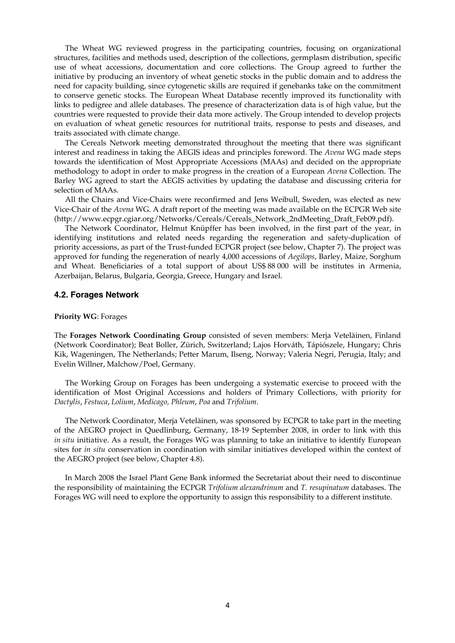The Wheat WG reviewed progress in the participating countries, focusing on organizational structures, facilities and methods used, description of the collections, germplasm distribution, specific use of wheat accessions, documentation and core collections. The Group agreed to further the initiative by producing an inventory of wheat genetic stocks in the public domain and to address the need for capacity building, since cytogenetic skills are required if genebanks take on the commitment to conserve genetic stocks. The European Wheat Database recently improved its functionality with links to pedigree and allele databases. The presence of characterization data is of high value, but the countries were requested to provide their data more actively. The Group intended to develop projects on evaluation of wheat genetic resources for nutritional traits, response to pests and diseases, and traits associated with climate change.

 The Cereals Network meeting demonstrated throughout the meeting that there was significant interest and readiness in taking the AEGIS ideas and principles foreword. The *Avena* WG made steps towards the identification of Most Appropriate Accessions (MAAs) and decided on the appropriate methodology to adopt in order to make progress in the creation of a European *Avena* Collection. The Barley WG agreed to start the AEGIS activities by updating the database and discussing criteria for selection of MAAs.

 All the Chairs and Vice-Chairs were reconfirmed and Jens Weibull, Sweden, was elected as new Vice-Chair of the *Avena* WG. A draft report of the meeting was made available on the ECPGR Web site (http://www.ecpgr.cgiar.org/Networks/Cereals/Cereals\_Network\_2ndMeeting\_Draft\_Feb09.pdf).

 The Network Coordinator, Helmut Knüpffer has been involved, in the first part of the year, in identifying institutions and related needs regarding the regeneration and safety-duplication of priority accessions, as part of the Trust-funded ECPGR project (see below, Chapter 7). The project was approved for funding the regeneration of nearly 4,000 accessions of *Aegilops*, Barley, Maize, Sorghum and Wheat. Beneficiaries of a total support of about US\$ 88 000 will be institutes in Armenia, Azerbaijan, Belarus, Bulgaria, Georgia, Greece, Hungary and Israel.

#### **4.2. Forages Network**

#### **Priority WG**: Forages

The **Forages Network Coordinating Group** consisted of seven members: Merja Veteläinen, Finland (Network Coordinator); Beat Boller, Zürich, Switzerland; Lajos Horváth, Tápiószele, Hungary; Chris Kik, Wageningen, The Netherlands; Petter Marum, Ilseng, Norway; Valeria Negri, Perugia, Italy; and Evelin Willner, Malchow/Poel, Germany.

 The Working Group on Forages has been undergoing a systematic exercise to proceed with the identification of Most Original Accessions and holders of Primary Collections, with priority for *Dactylis*, *Festuca*, *Lolium*, *Medicago, Phleum*, *Poa* and *Trifolium*.

 The Network Coordinator, Merja Veteläinen, was sponsored by ECPGR to take part in the meeting of the AEGRO project in Quedlinburg, Germany, 18-19 September 2008, in order to link with this *in situ* initiative. As a result, the Forages WG was planning to take an initiative to identify European sites for *in situ* conservation in coordination with similar initiatives developed within the context of the AEGRO project (see below, Chapter 4.8).

 In March 2008 the Israel Plant Gene Bank informed the Secretariat about their need to discontinue the responsibility of maintaining the ECPGR *Trifolium alexandrinum* and *T. resupinatum* databases. The Forages WG will need to explore the opportunity to assign this responsibility to a different institute.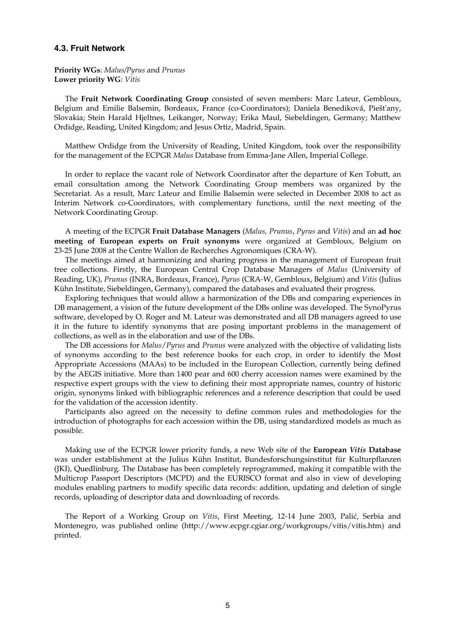#### **4.3. Fruit Network**

**Priority WGs**: *Malus/Pyrus* and *Prunus* **Lower priority WG**: *Vitis*

 The **Fruit Network Coordinating Group** consisted of seven members: Marc Lateur, Gembloux, Belgium and Emilie Balsemin, Bordeaux, France (co-Coordinators); Daniela Benediková, Piešt'any, Slovakia; Stein Harald Hjeltnes, Leikanger, Norway; Erika Maul, Siebeldingen, Germany; Matthew Ordidge, Reading, United Kingdom; and Jesus Ortiz, Madrid, Spain.

 Matthew Ordidge from the University of Reading, United Kingdom, took over the responsibility for the management of the ECPGR *Malus* Database from Emma-Jane Allen, Imperial College.

 In order to replace the vacant role of Network Coordinator after the departure of Ken Tobutt, an email consultation among the Network Coordinating Group members was organized by the Secretariat. As a result, Marc Lateur and Emilie Balsemin were selected in December 2008 to act as Interim Network co-Coordinators, with complementary functions, until the next meeting of the Network Coordinating Group.

 A meeting of the ECPGR **Fruit Database Managers** (*Malus, Prunus*, *Pyrus* and *Vitis*) and an **ad hoc meeting of European experts on Fruit synonyms** were organized at Gembloux, Belgium on 23-25 June 2008 at the Centre Wallon de Recherches Agronomiques (CRA-W).

 The meetings aimed at harmonizing and sharing progress in the management of European fruit tree collections. Firstly, the European Central Crop Database Managers of *Malus* (University of Reading, UK), *Prunus* (INRA, Bordeaux, France), *Pyrus* (CRA-W, Gembloux, Belgium) and *Vitis* (Julius Kühn Institute, Siebeldingen, Germany), compared the databases and evaluated their progress.

 Exploring techniques that would allow a harmonization of the DBs and comparing experiences in DB management, a vision of the future development of the DBs online was developed. The SynoPyrus software, developed by O. Roger and M. Lateur was demonstrated and all DB managers agreed to use it in the future to identify synonyms that are posing important problems in the management of collections, as well as in the elaboration and use of the DBs.

 The DB accessions for *Malus*/*Pyrus* and *Prunus* were analyzed with the objective of validating lists of synonyms according to the best reference books for each crop, in order to identify the Most Appropriate Accessions (MAAs) to be included in the European Collection, currently being defined by the AEGIS initiative. More than 1400 pear and 600 cherry accession names were examined by the respective expert groups with the view to defining their most appropriate names, country of historic origin, synonyms linked with bibliographic references and a reference description that could be used for the validation of the accession identity.

 Participants also agreed on the necessity to define common rules and methodologies for the introduction of photographs for each accession within the DB, using standardized models as much as possible.

 Making use of the ECPGR lower priority funds, a new Web site of the **European** *Vitis* **Database** was under establishment at the Julius Kühn Institut, Bundesforschungsinstitut für Kulturpflanzen (JKI), Quedlinburg. The Database has been completely reprogrammed, making it compatible with the Multicrop Passport Descriptors (MCPD) and the EURISCO format and also in view of developing modules enabling partners to modify specific data records: addition, updating and deletion of single records, uploading of descriptor data and downloading of records.

 The Report of a Working Group on *Vitis*, First Meeting, 12-14 June 2003, Palić, Serbia and Montenegro, was published online (http://www.ecpgr.cgiar.org/workgroups/vitis/vitis.htm) and printed.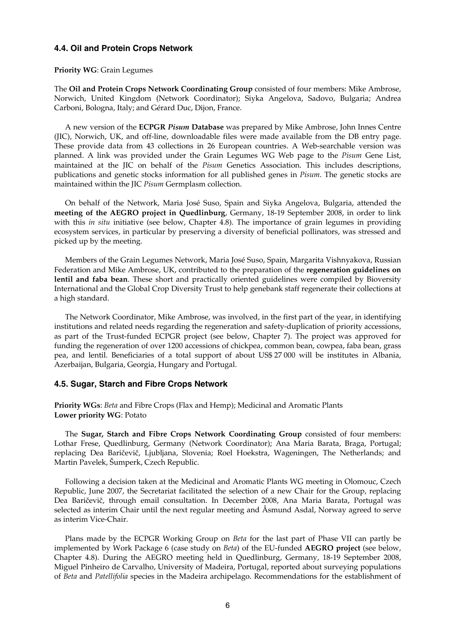#### **4.4. Oil and Protein Crops Network**

#### **Priority WG**: Grain Legumes

The **Oil and Protein Crops Network Coordinating Group** consisted of four members: Mike Ambrose, Norwich, United Kingdom (Network Coordinator); Siyka Angelova, Sadovo, Bulgaria; Andrea Carboni, Bologna, Italy; and Gérard Duc, Dijon, France.

 A new version of the **ECPGR** *Pisum* **Database** was prepared by Mike Ambrose, John Innes Centre (JIC), Norwich, UK, and off-line, downloadable files were made available from the DB entry page. These provide data from 43 collections in 26 European countries. A Web-searchable version was planned. A link was provided under the Grain Legumes WG Web page to the *Pisum* Gene List, maintained at the JIC on behalf of the *Pisum* Genetics Association. This includes descriptions, publications and genetic stocks information for all published genes in *Pisum*. The genetic stocks are maintained within the JIC *Pisum* Germplasm collection.

 On behalf of the Network, Maria José Suso, Spain and Siyka Angelova, Bulgaria, attended the **meeting of the AEGRO project in Quedlinburg**, Germany, 18-19 September 2008, in order to link with this *in situ* initiative (see below, Chapter 4.8). The importance of grain legumes in providing ecosystem services, in particular by preserving a diversity of beneficial pollinators, was stressed and picked up by the meeting.

 Members of the Grain Legumes Network, Maria José Suso, Spain, Margarita Vishnyakova, Russian Federation and Mike Ambrose, UK, contributed to the preparation of the **regeneration guidelines on lentil and faba bean**. These short and practically oriented guidelines were compiled by Bioversity International and the Global Crop Diversity Trust to help genebank staff regenerate their collections at a high standard.

 The Network Coordinator, Mike Ambrose, was involved, in the first part of the year, in identifying institutions and related needs regarding the regeneration and safety-duplication of priority accessions, as part of the Trust-funded ECPGR project (see below, Chapter 7). The project was approved for funding the regeneration of over 1200 accessions of chickpea, common bean, cowpea, faba bean, grass pea, and lentil. Beneficiaries of a total support of about US\$ 27 000 will be institutes in Albania, Azerbaijan, Bulgaria, Georgia, Hungary and Portugal.

#### **4.5. Sugar, Starch and Fibre Crops Network**

**Priority WGs**: *Beta* and Fibre Crops (Flax and Hemp); Medicinal and Aromatic Plants **Lower priority WG**: Potato

 The **Sugar, Starch and Fibre Crops Network Coordinating Group** consisted of four members: Lothar Frese, Quedlinburg, Germany (Network Coordinator); Ana Maria Barata, Braga, Portugal; replacing Dea Baričevič, Ljubljana, Slovenia; Roel Hoekstra, Wageningen, The Netherlands; and Martin Pavelek, Šumperk, Czech Republic.

 Following a decision taken at the Medicinal and Aromatic Plants WG meeting in Olomouc, Czech Republic, June 2007, the Secretariat facilitated the selection of a new Chair for the Group, replacing Dea Baričevič, through email consultation. In December 2008, Ana Maria Barata, Portugal was selected as interim Chair until the next regular meeting and Åsmund Asdal, Norway agreed to serve as interim Vice-Chair.

 Plans made by the ECPGR Working Group on *Beta* for the last part of Phase VII can partly be implemented by Work Package 6 (case study on *Beta*) of the EU-funded **AEGRO project** (see below, Chapter 4.8). During the AEGRO meeting held in Quedlinburg, Germany, 18-19 September 2008, Miguel Pinheiro de Carvalho, University of Madeira, Portugal, reported about surveying populations of *Beta* and *Patellifolia* species in the Madeira archipelago. Recommendations for the establishment of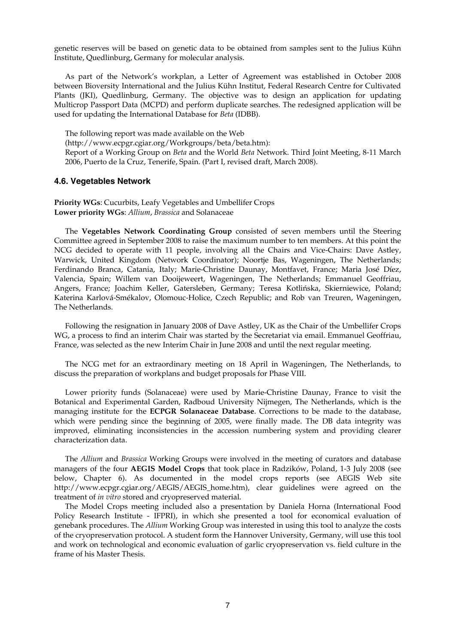genetic reserves will be based on genetic data to be obtained from samples sent to the Julius Kühn Institute, Quedlinburg, Germany for molecular analysis.

 As part of the Network's workplan, a Letter of Agreement was established in October 2008 between Bioversity International and the Julius Kühn Institut, Federal Research Centre for Cultivated Plants (JKI), Quedlinburg, Germany. The objective was to design an application for updating Multicrop Passport Data (MCPD) and perform duplicate searches. The redesigned application will be used for updating the International Database for *Beta* (IDBB).

The following report was made available on the Web

(http://www.ecpgr.cgiar.org/Workgroups/beta/beta.htm):

Report of a Working Group on *Beta* and the World *Beta* Network. Third Joint Meeting, 8-11 March 2006, Puerto de la Cruz, Tenerife, Spain. (Part I, revised draft, March 2008).

#### **4.6. Vegetables Network**

**Priority WGs**: Cucurbits, Leafy Vegetables and Umbellifer Crops **Lower priority WGs**: *Allium*, *Brassica* and Solanaceae

 The **Vegetables Network Coordinating Group** consisted of seven members until the Steering Committee agreed in September 2008 to raise the maximum number to ten members. At this point the NCG decided to operate with 11 people, involving all the Chairs and Vice-Chairs: Dave Astley, Warwick, United Kingdom (Network Coordinator); Noortje Bas, Wageningen, The Netherlands; Ferdinando Branca, Catania, Italy; Marie-Christine Daunay, Montfavet, France; Maria José Díez, Valencia, Spain; Willem van Dooijeweert, Wageningen, The Netherlands; Emmanuel Geoffriau, Angers, France; Joachim Keller, Gatersleben, Germany; Teresa Kotlińska, Skierniewice, Poland; Katerina Karlová-Smékalov, Olomouc-Holice, Czech Republic; and Rob van Treuren, Wageningen, The Netherlands.

 Following the resignation in January 2008 of Dave Astley, UK as the Chair of the Umbellifer Crops WG, a process to find an interim Chair was started by the Secretariat via email. Emmanuel Geoffriau, France, was selected as the new Interim Chair in June 2008 and until the next regular meeting.

 The NCG met for an extraordinary meeting on 18 April in Wageningen, The Netherlands, to discuss the preparation of workplans and budget proposals for Phase VIII.

 Lower priority funds (Solanaceae) were used by Marie-Christine Daunay, France to visit the Botanical and Experimental Garden, Radboud University Nijmegen, The Netherlands, which is the managing institute for the **ECPGR Solanaceae Database**. Corrections to be made to the database, which were pending since the beginning of 2005, were finally made. The DB data integrity was improved, eliminating inconsistencies in the accession numbering system and providing clearer characterization data.

 The *Allium* and *Brassica* Working Groups were involved in the meeting of curators and database managers of the four **AEGIS Model Crops** that took place in Radzików, Poland, 1-3 July 2008 (see below, Chapter 6). As documented in the model crops reports (see AEGIS Web site http://www.ecpgr.cgiar.org/AEGIS/AEGIS\_home.htm), clear guidelines were agreed on the treatment of *in vitro* stored and cryopreserved material.

 The Model Crops meeting included also a presentation by Daniela Horna (International Food Policy Research Institute - IFPRI), in which she presented a tool for economical evaluation of genebank procedures. The *Allium* Working Group was interested in using this tool to analyze the costs of the cryopreservation protocol. A student form the Hannover University, Germany, will use this tool and work on technological and economic evaluation of garlic cryopreservation vs. field culture in the frame of his Master Thesis.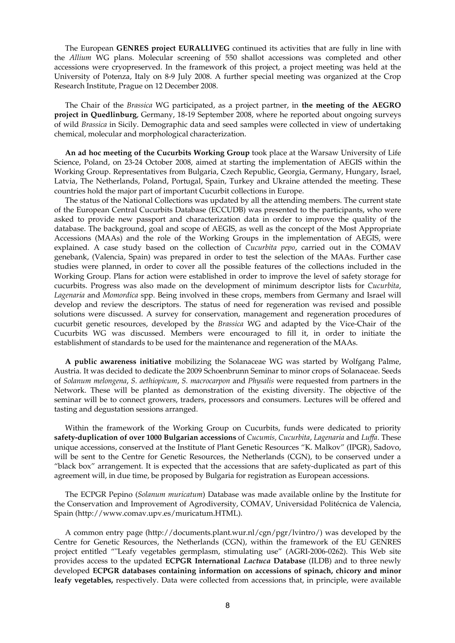The European **GENRES project EURALLIVEG** continued its activities that are fully in line with the *Allium* WG plans. Molecular screening of 550 shallot accessions was completed and other accessions were cryopreserved. In the framework of this project, a project meeting was held at the University of Potenza, Italy on 8-9 July 2008. A further special meeting was organized at the Crop Research Institute, Prague on 12 December 2008.

 The Chair of the *Brassica* WG participated, as a project partner, in **the meeting of the AEGRO project in Quedlinburg**, Germany, 18-19 September 2008, where he reported about ongoing surveys of wild *Brassica* in Sicily. Demographic data and seed samples were collected in view of undertaking chemical, molecular and morphological characterization.

**An ad hoc meeting of the Cucurbits Working Group** took place at the Warsaw University of Life Science, Poland, on 23-24 October 2008, aimed at starting the implementation of AEGIS within the Working Group. Representatives from Bulgaria, Czech Republic, Georgia, Germany, Hungary, Israel, Latvia, The Netherlands, Poland, Portugal, Spain, Turkey and Ukraine attended the meeting. These countries hold the major part of important Cucurbit collections in Europe.

 The status of the National Collections was updated by all the attending members. The current state of the European Central Cucurbits Database (ECCUDB) was presented to the participants, who were asked to provide new passport and characterization data in order to improve the quality of the database. The background, goal and scope of AEGIS, as well as the concept of the Most Appropriate Accessions (MAAs) and the role of the Working Groups in the implementation of AEGIS, were explained. A case study based on the collection of *Cucurbita pepo*, carried out in the COMAV genebank, (Valencia, Spain) was prepared in order to test the selection of the MAAs. Further case studies were planned, in order to cover all the possible features of the collections included in the Working Group. Plans for action were established in order to improve the level of safety storage for cucurbits. Progress was also made on the development of minimum descriptor lists for *Cucurbita*, *Lagenaria* and *Momordica* spp. Being involved in these crops, members from Germany and Israel will develop and review the descriptors. The status of need for regeneration was revised and possible solutions were discussed. A survey for conservation, management and regeneration procedures of cucurbit genetic resources, developed by the *Brassica* WG and adapted by the Vice-Chair of the Cucurbits WG was discussed. Members were encouraged to fill it, in order to initiate the establishment of standards to be used for the maintenance and regeneration of the MAAs.

**A public awareness initiative** mobilizing the Solanaceae WG was started by Wolfgang Palme, Austria. It was decided to dedicate the 2009 Schoenbrunn Seminar to minor crops of Solanaceae. Seeds of *Solanum melongena*, *S. aethiopicum*, *S. macrocarpon* and *Physalis* were requested from partners in the Network. These will be planted as demonstration of the existing diversity. The objective of the seminar will be to connect growers, traders, processors and consumers. Lectures will be offered and tasting and degustation sessions arranged.

Within the framework of the Working Group on Cucurbits, funds were dedicated to priority **safety-duplication of over 1000 Bulgarian accessions** of *Cucumis, Cucurbita*, *Lagenaria* and *Luffa*. These unique accessions, conserved at the Institute of Plant Genetic Resources "K. Malkov" (IPGR), Sadovo, will be sent to the Centre for Genetic Resources, the Netherlands (CGN), to be conserved under a "black box" arrangement. It is expected that the accessions that are safety-duplicated as part of this agreement will, in due time, be proposed by Bulgaria for registration as European accessions.

 The ECPGR Pepino (*Solanum muricatum*) Database was made available online by the Institute for the Conservation and Improvement of Agrodiversity, COMAV, Universidad Politécnica de Valencia, Spain (http://www.comav.upv.es/muricatum.HTML).

 A common entry page (http://documents.plant.wur.nl/cgn/pgr/lvintro/) was developed by the Centre for Genetic Resources, the Netherlands (CGN), within the framework of the EU GENRES project entitled ""Leafy vegetables germplasm, stimulating use" (AGRI-2006-0262). This Web site provides access to the updated **ECPGR International** *Lactuca* **Database** (ILDB) and to three newly developed **ECPGR databases containing information on accessions of spinach, chicory and minor leafy vegetables,** respectively. Data were collected from accessions that, in principle, were available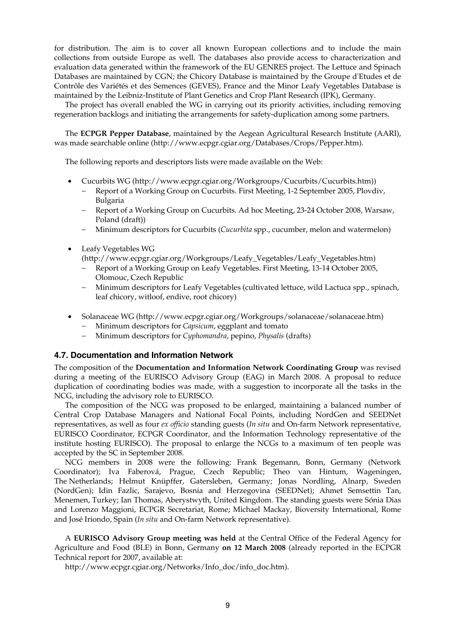for distribution. The aim is to cover all known European collections and to include the main collections from outside Europe as well. The databases also provide access to characterization and evaluation data generated within the framework of the EU GENRES project. The Lettuce and Spinach Databases are maintained by CGN; the Chicory Database is maintained by the Groupe d'Etudes et de Contrôle des Variétés et des Semences (GEVES), France and the Minor Leafy Vegetables Database is maintained by the Leibniz-Institute of Plant Genetics and Crop Plant Research (IPK), Germany.

 The project has overall enabled the WG in carrying out its priority activities, including removing regeneration backlogs and initiating the arrangements for safety-duplication among some partners.

 The **ECPGR Pepper Database**, maintained by the Aegean Agricultural Research Institute (AARI), was made searchable online (http://www.ecpgr.cgiar.org/Databases/Crops/Pepper.htm).

The following reports and descriptors lists were made available on the Web:

- Cucurbits WG (http://www.ecpgr.cgiar.org/Workgroups/Cucurbits/Cucurbits.htm))
	- − Report of a Working Group on Cucurbits. First Meeting, 1-2 September 2005, Plovdiv, Bulgaria
	- − Report of a Working Group on Cucurbits. Ad hoc Meeting, 23-24 October 2008, Warsaw, Poland (draft))
	- − Minimum descriptors for Cucurbits (*Cucurbita* spp., cucumber, melon and watermelon)
- Leafy Vegetables WG

(http://www.ecpgr.cgiar.org/Workgroups/Leafy\_Vegetables/Leafy\_Vegetables.htm)

- − Report of a Working Group on Leafy Vegetables. First Meeting, 13-14 October 2005, Olomouc, Czech Republic
- − Minimum descriptors for Leafy Vegetables (cultivated lettuce, wild Lactuca spp., spinach, leaf chicory, witloof, endive, root chicory)
- Solanaceae WG (http://www.ecpgr.cgiar.org/Workgroups/solanaceae/solanaceae.htm)
	- − Minimum descriptors for *Capsicum*, eggplant and tomato
	- − Minimum descriptors for *Cyphomandra*, pepino, *Physalis* (drafts)

#### **4.7. Documentation and Information Network**

The composition of the **Documentation and Information Network Coordinating Group** was revised during a meeting of the EURISCO Advisory Group (EAG) in March 2008. A proposal to reduce duplication of coordinating bodies was made, with a suggestion to incorporate all the tasks in the NCG, including the advisory role to EURISCO.

 The composition of the NCG was proposed to be enlarged, maintaining a balanced number of Central Crop Database Managers and National Focal Points, including NordGen and SEEDNet representatives, as well as four *ex officio* standing guests (*In situ* and On-farm Network representative, EURISCO Coordinator, ECPGR Coordinator, and the Information Technology representative of the institute hosting EURISCO). The proposal to enlarge the NCGs to a maximum of ten people was accepted by the SC in September 2008.

 NCG members in 2008 were the following: Frank Begemann, Bonn, Germany (Network Coordinator); Iva Faberová, Prague, Czech Republic; Theo van Hintum, Wageningen, The Netherlands; Helmut Knüpffer, Gatersleben, Germany; Jonas Nordling, Alnarp, Sweden (NordGen); Idin Fazlic, Sarajevo, Bosnia and Herzegovina (SEEDNet); Ahmet Semsettin Tan, Menemen, Turkey; Ian Thomas, Aberystwyth, United Kingdom. The standing guests were Sónia Dias and Lorenzo Maggioni, ECPGR Secretariat, Rome; Michael Mackay, Bioversity International, Rome and José Iriondo, Spain (*In situ* and On-farm Network representative).

 A **EURISCO Advisory Group meeting was held** at the Central Office of the Federal Agency for Agriculture and Food (BLE) in Bonn, Germany **on 12 March 2008** (already reported in the ECPGR Technical report for 2007, available at:

http://www.ecpgr.cgiar.org/Networks/Info\_doc/info\_doc.htm).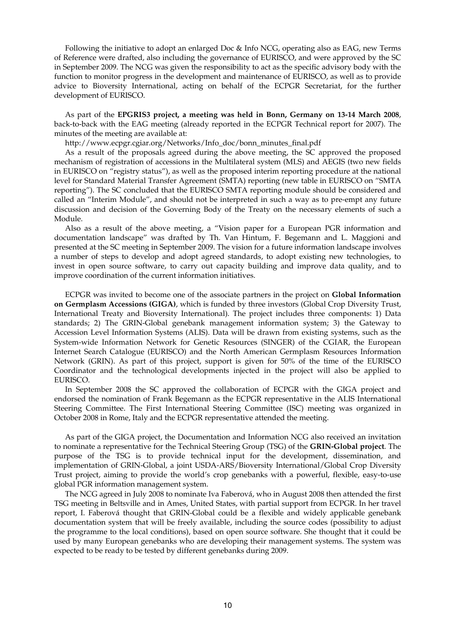Following the initiative to adopt an enlarged Doc & Info NCG, operating also as EAG, new Terms of Reference were drafted, also including the governance of EURISCO, and were approved by the SC in September 2009. The NCG was given the responsibility to act as the specific advisory body with the function to monitor progress in the development and maintenance of EURISCO, as well as to provide advice to Bioversity International, acting on behalf of the ECPGR Secretariat, for the further development of EURISCO.

 As part of the **EPGRIS3 project, a meeting was held in Bonn, Germany on 13-14 March 2008**, back-to-back with the EAG meeting (already reported in the ECPGR Technical report for 2007). The minutes of the meeting are available at:

http://www.ecpgr.cgiar.org/Networks/Info\_doc/bonn\_minutes\_final.pdf

 As a result of the proposals agreed during the above meeting, the SC approved the proposed mechanism of registration of accessions in the Multilateral system (MLS) and AEGIS (two new fields in EURISCO on "registry status"), as well as the proposed interim reporting procedure at the national level for Standard Material Transfer Agreement (SMTA) reporting (new table in EURISCO on "SMTA reporting"). The SC concluded that the EURISCO SMTA reporting module should be considered and called an "Interim Module", and should not be interpreted in such a way as to pre-empt any future discussion and decision of the Governing Body of the Treaty on the necessary elements of such a Module.

 Also as a result of the above meeting, a "Vision paper for a European PGR information and documentation landscape" was drafted by Th. Van Hintum, F. Begemann and L. Maggioni and presented at the SC meeting in September 2009. The vision for a future information landscape involves a number of steps to develop and adopt agreed standards, to adopt existing new technologies, to invest in open source software, to carry out capacity building and improve data quality, and to improve coordination of the current information initiatives.

 ECPGR was invited to become one of the associate partners in the project on **Global Information on Germplasm Accessions (GIGA)**, which is funded by three investors (Global Crop Diversity Trust, International Treaty and Bioversity International). The project includes three components: 1) Data standards; 2) The GRIN-Global genebank management information system; 3) the Gateway to Accession Level Information Systems (ALIS). Data will be drawn from existing systems, such as the System-wide Information Network for Genetic Resources (SINGER) of the CGIAR, the European Internet Search Catalogue (EURISCO) and the North American Germplasm Resources Information Network (GRIN). As part of this project, support is given for 50% of the time of the EURISCO Coordinator and the technological developments injected in the project will also be applied to EURISCO.

 In September 2008 the SC approved the collaboration of ECPGR with the GIGA project and endorsed the nomination of Frank Begemann as the ECPGR representative in the ALIS International Steering Committee. The First International Steering Committee (ISC) meeting was organized in October 2008 in Rome, Italy and the ECPGR representative attended the meeting.

 As part of the GIGA project, the Documentation and Information NCG also received an invitation to nominate a representative for the Technical Steering Group (TSG) of the **GRIN-Global project**. The purpose of the TSG is to provide technical input for the development, dissemination, and implementation of GRIN-Global, a joint USDA-ARS/Bioversity International/Global Crop Diversity Trust project, aiming to provide the world's crop genebanks with a powerful, flexible, easy-to-use global PGR information management system.

The NCG agreed in July 2008 to nominate Iva Faberová, who in August 2008 then attended the first TSG meeting in Beltsville and in Ames, United States, with partial support from ECPGR. In her travel report, I. Faberová thought that GRIN-Global could be a flexible and widely applicable genebank documentation system that will be freely available, including the source codes (possibility to adjust the programme to the local conditions), based on open source software. She thought that it could be used by many European genebanks who are developing their management systems. The system was expected to be ready to be tested by different genebanks during 2009.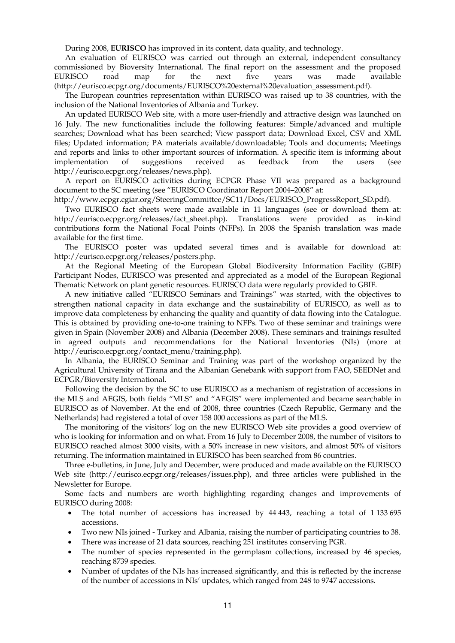During 2008, **EURISCO** has improved in its content, data quality, and technology.

 An evaluation of EURISCO was carried out through an external, independent consultancy commissioned by Bioversity International. The final report on the assessment and the proposed EURISCO road map for the next five years was made available (http://eurisco.ecpgr.org/documents/EURISCO%20external%20evaluation\_assessment.pdf).

 The European countries representation within EURISCO was raised up to 38 countries, with the inclusion of the National Inventories of Albania and Turkey.

 An updated EURISCO Web site, with a more user-friendly and attractive design was launched on 16 July. The new functionalities include the following features: Simple/advanced and multiple searches; Download what has been searched; View passport data; Download Excel, CSV and XML files; Updated information; PA materials available/downloadable; Tools and documents; Meetings and reports and links to other important sources of information. A specific item is informing about implementation of suggestions received as feedback from the users (see http://eurisco.ecpgr.org/releases/news.php).

 A report on EURISCO activities during ECPGR Phase VII was prepared as a background document to the SC meeting (see "EURISCO Coordinator Report 2004–2008" at:

http://www.ecpgr.cgiar.org/SteeringCommittee/SC11/Docs/EURISCO\_ProgressReport\_SD.pdf).

 Two EURISCO fact sheets were made available in 11 languages (see or download them at: http://eurisco.ecpgr.org/releases/fact\_sheet.php). Translations were provided as in-kind contributions form the National Focal Points (NFPs). In 2008 the Spanish translation was made available for the first time.

 The EURISCO poster was updated several times and is available for download at: http://eurisco.ecpgr.org/releases/posters.php.

 At the Regional Meeting of the European Global Biodiversity Information Facility (GBIF) Participant Nodes, EURISCO was presented and appreciated as a model of the European Regional Thematic Network on plant genetic resources. EURISCO data were regularly provided to GBIF.

 A new initiative called "EURISCO Seminars and Trainings" was started, with the objectives to strengthen national capacity in data exchange and the sustainability of EURISCO, as well as to improve data completeness by enhancing the quality and quantity of data flowing into the Catalogue. This is obtained by providing one-to-one training to NFPs. Two of these seminar and trainings were given in Spain (November 2008) and Albania (December 2008). These seminars and trainings resulted in agreed outputs and recommendations for the National Inventories (NIs) (more at http://eurisco.ecpgr.org/contact\_menu/training.php).

 In Albania, the EURISCO Seminar and Training was part of the workshop organized by the Agricultural University of Tirana and the Albanian Genebank with support from FAO, SEEDNet and ECPGR/Bioversity International.

 Following the decision by the SC to use EURISCO as a mechanism of registration of accessions in the MLS and AEGIS, both fields "MLS" and "AEGIS" were implemented and became searchable in EURISCO as of November. At the end of 2008, three countries (Czech Republic, Germany and the Netherlands) had registered a total of over 158 000 accessions as part of the MLS.

 The monitoring of the visitors' log on the new EURISCO Web site provides a good overview of who is looking for information and on what. From 16 July to December 2008, the number of visitors to EURISCO reached almost 3000 visits, with a 50% increase in new visitors, and almost 50% of visitors returning. The information maintained in EURISCO has been searched from 86 countries.

 Three e-bulletins, in June, July and December, were produced and made available on the EURISCO Web site (http://eurisco.ecpgr.org/releases/issues.php), and three articles were published in the Newsletter for Europe.

 Some facts and numbers are worth highlighting regarding changes and improvements of EURISCO during 2008:

- The total number of accessions has increased by 44 443, reaching a total of 1 133 695 accessions.
- Two new NIs joined Turkey and Albania, raising the number of participating countries to 38.
- There was increase of 21 data sources, reaching 251 institutes conserving PGR.
- The number of species represented in the germplasm collections, increased by 46 species, reaching 8739 species.
- Number of updates of the NIs has increased significantly, and this is reflected by the increase of the number of accessions in NIs' updates, which ranged from 248 to 9747 accessions.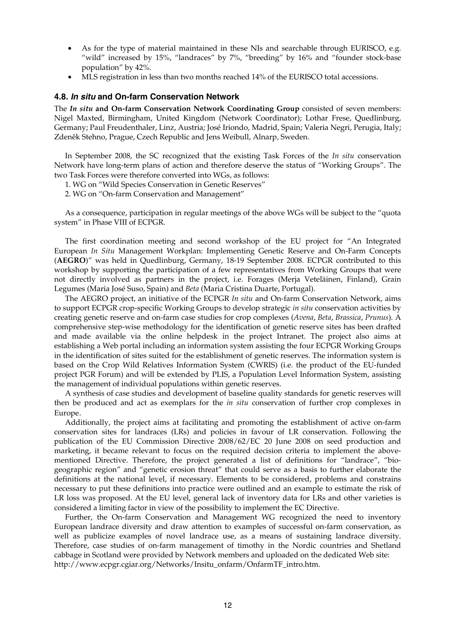- As for the type of material maintained in these NIs and searchable through EURISCO, e.g. "wild" increased by 15%, "landraces" by 7%, "breeding" by 16% and "founder stock-base population" by 42%.
- MLS registration in less than two months reached 14% of the EURISCO total accessions.

#### **4.8.** *In situ* **and On-farm Conservation Network**

The *In situ* **and On-farm Conservation Network Coordinating Group** consisted of seven members: Nigel Maxted, Birmingham, United Kingdom (Network Coordinator); Lothar Frese, Quedlinburg, Germany; Paul Freudenthaler, Linz, Austria; José Iriondo, Madrid, Spain; Valeria Negri, Perugia, Italy; Zdeněk Stehno, Prague, Czech Republic and Jens Weibull, Alnarp, Sweden.

 In September 2008, the SC recognized that the existing Task Forces of the *In situ* conservation Network have long-term plans of action and therefore deserve the status of "Working Groups". The two Task Forces were therefore converted into WGs, as follows:

1. WG on "Wild Species Conservation in Genetic Reserves"

2. WG on "On-farm Conservation and Management"

 As a consequence, participation in regular meetings of the above WGs will be subject to the "quota system" in Phase VIII of ECPGR.

 The first coordination meeting and second workshop of the EU project for "An Integrated European *In Situ* Management Workplan: Implementing Genetic Reserve and On-Farm Concepts (**AEGRO**)" was held in Quedlinburg, Germany, 18-19 September 2008. ECPGR contributed to this workshop by supporting the participation of a few representatives from Working Groups that were not directly involved as partners in the project, i.e. Forages (Merja Veteläinen, Finland), Grain Legumes (Maria José Suso, Spain) and *Beta* (Maria Cristina Duarte, Portugal).

 The AEGRO project, an initiative of the ECPGR *In situ* and On-farm Conservation Network, aims to support ECPGR crop-specific Working Groups to develop strategic *in situ* conservation activities by creating genetic reserve and on-farm case studies for crop complexes (*Avena*, *Beta*, *Brassica*, *Prunus*). A comprehensive step-wise methodology for the identification of genetic reserve sites has been drafted and made available via the online helpdesk in the project Intranet. The project also aims at establishing a Web portal including an information system assisting the four ECPGR Working Groups in the identification of sites suited for the establishment of genetic reserves. The information system is based on the Crop Wild Relatives Information System (CWRIS) (i.e. the product of the EU-funded project PGR Forum) and will be extended by PLIS, a Population Level Information System, assisting the management of individual populations within genetic reserves.

 A synthesis of case studies and development of baseline quality standards for genetic reserves will then be produced and act as exemplars for the *in situ* conservation of further crop complexes in Europe.

 Additionally, the project aims at facilitating and promoting the establishment of active on-farm conservation sites for landraces (LRs) and policies in favour of LR conservation. Following the publication of the EU Commission Directive 2008/62/EC 20 June 2008 on seed production and marketing, it became relevant to focus on the required decision criteria to implement the abovementioned Directive. Therefore, the project generated a list of definitions for "landrace", "biogeographic region" and "genetic erosion threat" that could serve as a basis to further elaborate the definitions at the national level, if necessary. Elements to be considered, problems and constrains necessary to put these definitions into practice were outlined and an example to estimate the risk of LR loss was proposed. At the EU level, general lack of inventory data for LRs and other varieties is considered a limiting factor in view of the possibility to implement the EC Directive.

 Further, the On-farm Conservation and Management WG recognized the need to inventory European landrace diversity and draw attention to examples of successful on-farm conservation, as well as publicize examples of novel landrace use, as a means of sustaining landrace diversity. Therefore, case studies of on-farm management of timothy in the Nordic countries and Shetland cabbage in Scotland were provided by Network members and uploaded on the dedicated Web site: http://www.ecpgr.cgiar.org/Networks/Insitu\_onfarm/OnfarmTF\_intro.htm.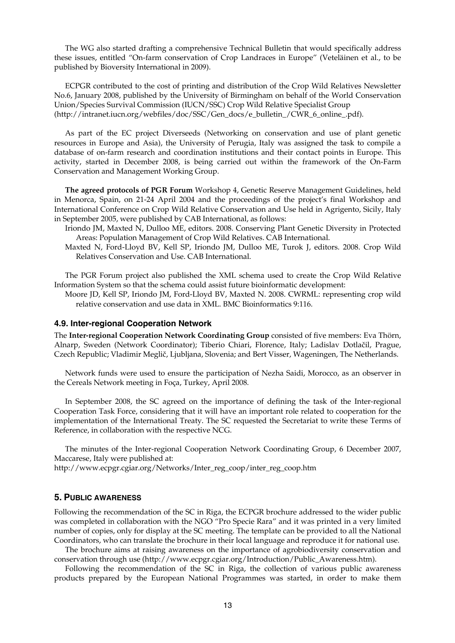The WG also started drafting a comprehensive Technical Bulletin that would specifically address these issues, entitled "On-farm conservation of Crop Landraces in Europe" (Veteläinen et al., to be published by Bioversity International in 2009).

 ECPGR contributed to the cost of printing and distribution of the Crop Wild Relatives Newsletter No.6, January 2008, published by the University of Birmingham on behalf of the World Conservation Union/Species Survival Commission (IUCN/SSC) Crop Wild Relative Specialist Group (http://intranet.iucn.org/webfiles/doc/SSC/Gen\_docs/e\_bulletin\_/CWR\_6\_online\_.pdf).

 As part of the EC project Diverseeds (Networking on conservation and use of plant genetic resources in Europe and Asia), the University of Perugia, Italy was assigned the task to compile a database of on-farm research and coordination institutions and their contact points in Europe. This activity, started in December 2008, is being carried out within the framework of the On-Farm Conservation and Management Working Group.

 **The agreed protocols of PGR Forum** Workshop 4, Genetic Reserve Management Guidelines, held in Menorca, Spain, on 21-24 April 2004 and the proceedings of the project's final Workshop and International Conference on Crop Wild Relative Conservation and Use held in Agrigento, Sicily, Italy in September 2005, were published by CAB International, as follows:

- Iriondo JM, Maxted N, Dulloo ME, editors. 2008. Conserving Plant Genetic Diversity in Protected Areas: Population Management of Crop Wild Relatives. CAB International.
- Maxted N, Ford-Lloyd BV, Kell SP, Iriondo JM, Dulloo ME, Turok J, editors. 2008. Crop Wild Relatives Conservation and Use. CAB International.

 The PGR Forum project also published the XML schema used to create the Crop Wild Relative Information System so that the schema could assist future bioinformatic development:

Moore JD, Kell SP, Iriondo JM, Ford-Lloyd BV, Maxted N. 2008. CWRML: representing crop wild relative conservation and use data in XML. BMC Bioinformatics 9:116.

#### **4.9. Inter-regional Cooperation Network**

The **Inter-regional Cooperation Network Coordinating Group** consisted of five members: Eva Thörn, Alnarp, Sweden (Network Coordinator); Tiberio Chiari, Florence, Italy; Ladislav Dotlačil, Prague, Czech Republic; Vladimir Meglič, Ljubljana, Slovenia; and Bert Visser, Wageningen, The Netherlands.

 Network funds were used to ensure the participation of Nezha Saidi, Morocco, as an observer in the Cereals Network meeting in Foça, Turkey, April 2008.

 In September 2008, the SC agreed on the importance of defining the task of the Inter-regional Cooperation Task Force, considering that it will have an important role related to cooperation for the implementation of the International Treaty. The SC requested the Secretariat to write these Terms of Reference, in collaboration with the respective NCG.

 The minutes of the Inter-regional Cooperation Network Coordinating Group, 6 December 2007, Maccarese, Italy were published at:

http://www.ecpgr.cgiar.org/Networks/Inter\_reg\_coop/inter\_reg\_coop.htm

#### **5. PUBLIC AWARENESS**

Following the recommendation of the SC in Riga, the ECPGR brochure addressed to the wider public was completed in collaboration with the NGO "Pro Specie Rara" and it was printed in a very limited number of copies, only for display at the SC meeting. The template can be provided to all the National Coordinators, who can translate the brochure in their local language and reproduce it for national use.

 The brochure aims at raising awareness on the importance of agrobiodiversity conservation and conservation through use (http://www.ecpgr.cgiar.org/Introduction/Public\_Awareness.htm).

 Following the recommendation of the SC in Riga, the collection of various public awareness products prepared by the European National Programmes was started, in order to make them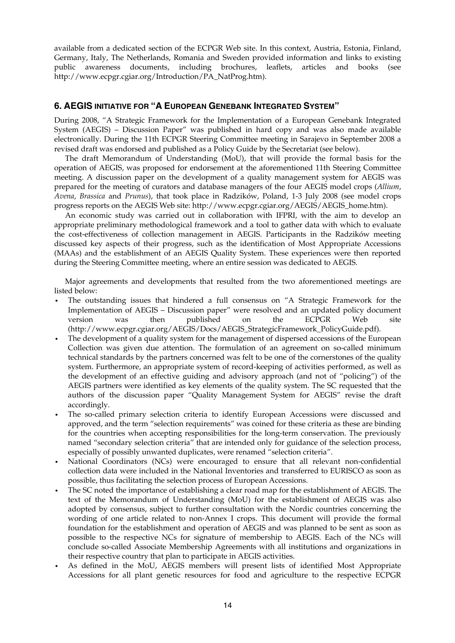available from a dedicated section of the ECPGR Web site. In this context, Austria, Estonia, Finland, Germany, Italy, The Netherlands, Romania and Sweden provided information and links to existing public awareness documents, including brochures, leaflets, articles and books (see http://www.ecpgr.cgiar.org/Introduction/PA\_NatProg.htm).

## **6. AEGIS INITIATIVE FOR "A EUROPEAN GENEBANK INTEGRATED SYSTEM"**

During 2008, "A Strategic Framework for the Implementation of a European Genebank Integrated System (AEGIS) – Discussion Paper" was published in hard copy and was also made available electronically. During the 11th ECPGR Steering Committee meeting in Sarajevo in September 2008 a revised draft was endorsed and published as a Policy Guide by the Secretariat (see below).

 The draft Memorandum of Understanding (MoU), that will provide the formal basis for the operation of AEGIS, was proposed for endorsement at the aforementioned 11th Steering Committee meeting. A discussion paper on the development of a quality management system for AEGIS was prepared for the meeting of curators and database managers of the four AEGIS model crops (*Allium*, *Avena*, *Brassica* and *Prunus*), that took place in Radzików, Poland, 1-3 July 2008 (see model crops progress reports on the AEGIS Web site: http://www.ecpgr.cgiar.org/AEGIS/AEGIS\_home.htm).

 An economic study was carried out in collaboration with IFPRI, with the aim to develop an appropriate preliminary methodological framework and a tool to gather data with which to evaluate the cost-effectiveness of collection management in AEGIS. Participants in the Radzików meeting discussed key aspects of their progress, such as the identification of Most Appropriate Accessions (MAAs) and the establishment of an AEGIS Quality System. These experiences were then reported during the Steering Committee meeting, where an entire session was dedicated to AEGIS.

 Major agreements and developments that resulted from the two aforementioned meetings are listed below:

- The outstanding issues that hindered a full consensus on "A Strategic Framework for the Implementation of AEGIS – Discussion paper" were resolved and an updated policy document version was then published on the ECPGR Web site (http://www.ecpgr.cgiar.org/AEGIS/Docs/AEGIS\_StrategicFramework\_PolicyGuide.pdf).
- The development of a quality system for the management of dispersed accessions of the European Collection was given due attention. The formulation of an agreement on so-called minimum technical standards by the partners concerned was felt to be one of the cornerstones of the quality system. Furthermore, an appropriate system of record-keeping of activities performed, as well as the development of an effective guiding and advisory approach (and not of "policing") of the AEGIS partners were identified as key elements of the quality system. The SC requested that the authors of the discussion paper "Quality Management System for AEGIS" revise the draft accordingly.
- The so-called primary selection criteria to identify European Accessions were discussed and approved, and the term "selection requirements" was coined for these criteria as these are binding for the countries when accepting responsibilities for the long-term conservation. The previously named "secondary selection criteria" that are intended only for guidance of the selection process, especially of possibly unwanted duplicates, were renamed "selection criteria".
- National Coordinators (NCs) were encouraged to ensure that all relevant non-confidential collection data were included in the National Inventories and transferred to EURISCO as soon as possible, thus facilitating the selection process of European Accessions.
- The SC noted the importance of establishing a clear road map for the establishment of AEGIS. The text of the Memorandum of Understanding (MoU) for the establishment of AEGIS was also adopted by consensus, subject to further consultation with the Nordic countries concerning the wording of one article related to non-Annex I crops. This document will provide the formal foundation for the establishment and operation of AEGIS and was planned to be sent as soon as possible to the respective NCs for signature of membership to AEGIS. Each of the NCs will conclude so-called Associate Membership Agreements with all institutions and organizations in their respective country that plan to participate in AEGIS activities.
- As defined in the MoU, AEGIS members will present lists of identified Most Appropriate Accessions for all plant genetic resources for food and agriculture to the respective ECPGR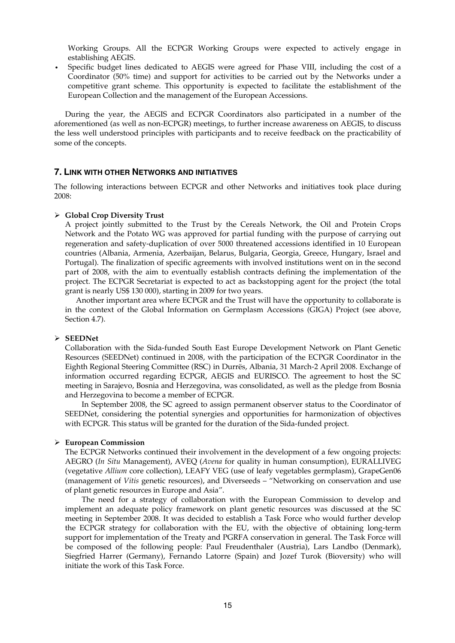Working Groups. All the ECPGR Working Groups were expected to actively engage in establishing AEGIS.

• Specific budget lines dedicated to AEGIS were agreed for Phase VIII, including the cost of a Coordinator (50% time) and support for activities to be carried out by the Networks under a competitive grant scheme. This opportunity is expected to facilitate the establishment of the European Collection and the management of the European Accessions.

 During the year, the AEGIS and ECPGR Coordinators also participated in a number of the aforementioned (as well as non-ECPGR) meetings, to further increase awareness on AEGIS, to discuss the less well understood principles with participants and to receive feedback on the practicability of some of the concepts.

#### **7. LINK WITH OTHER NETWORKS AND INITIATIVES**

The following interactions between ECPGR and other Networks and initiatives took place during 2008:

#### ¾ **Global Crop Diversity Trust**

A project jointly submitted to the Trust by the Cereals Network, the Oil and Protein Crops Network and the Potato WG was approved for partial funding with the purpose of carrying out regeneration and safety-duplication of over 5000 threatened accessions identified in 10 European countries (Albania, Armenia, Azerbaijan, Belarus, Bulgaria, Georgia, Greece, Hungary, Israel and Portugal). The finalization of specific agreements with involved institutions went on in the second part of 2008, with the aim to eventually establish contracts defining the implementation of the project. The ECPGR Secretariat is expected to act as backstopping agent for the project (the total grant is nearly US\$ 130 000), starting in 2009 for two years.

Another important area where ECPGR and the Trust will have the opportunity to collaborate is in the context of the Global Information on Germplasm Accessions (GIGA) Project (see above, Section 4.7).

#### ¾ **SEEDNet**

Collaboration with the Sida-funded South East Europe Development Network on Plant Genetic Resources (SEEDNet) continued in 2008, with the participation of the ECPGR Coordinator in the Eighth Regional Steering Committee (RSC) in Durrës, Albania, 31 March-2 April 2008. Exchange of information occurred regarding ECPGR, AEGIS and EURISCO. The agreement to host the SC meeting in Sarajevo, Bosnia and Herzegovina, was consolidated, as well as the pledge from Bosnia and Herzegovina to become a member of ECPGR.

In September 2008, the SC agreed to assign permanent observer status to the Coordinator of SEEDNet, considering the potential synergies and opportunities for harmonization of objectives with ECPGR. This status will be granted for the duration of the Sida-funded project.

#### ¾ **European Commission**

The ECPGR Networks continued their involvement in the development of a few ongoing projects: AEGRO (*In Situ* Management), AVEQ (*Avena* for quality in human consumption), EURALLIVEG (vegetative *Allium* core collection), LEAFY VEG (use of leafy vegetables germplasm), GrapeGen06 (management of *Vitis* genetic resources), and Diverseeds – "Networking on conservation and use of plant genetic resources in Europe and Asia".

 The need for a strategy of collaboration with the European Commission to develop and implement an adequate policy framework on plant genetic resources was discussed at the SC meeting in September 2008. It was decided to establish a Task Force who would further develop the ECPGR strategy for collaboration with the EU, with the objective of obtaining long-term support for implementation of the Treaty and PGRFA conservation in general. The Task Force will be composed of the following people: Paul Freudenthaler (Austria), Lars Landbo (Denmark), Siegfried Harrer (Germany), Fernando Latorre (Spain) and Jozef Turok (Bioversity) who will initiate the work of this Task Force.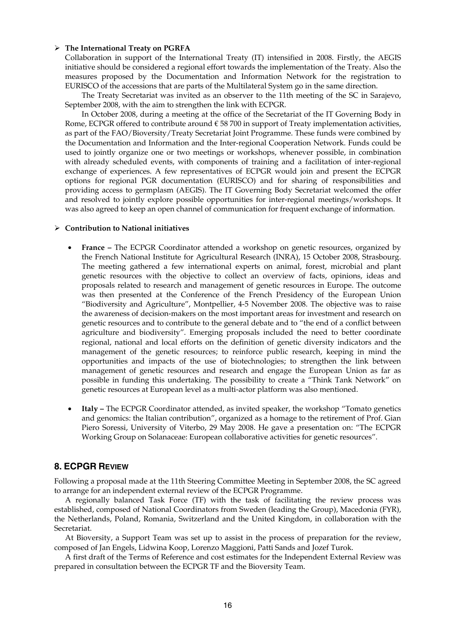#### ¾ **The International Treaty on PGRFA**

Collaboration in support of the International Treaty (IT) intensified in 2008. Firstly, the AEGIS initiative should be considered a regional effort towards the implementation of the Treaty. Also the measures proposed by the Documentation and Information Network for the registration to EURISCO of the accessions that are parts of the Multilateral System go in the same direction.

 The Treaty Secretariat was invited as an observer to the 11th meeting of the SC in Sarajevo, September 2008, with the aim to strengthen the link with ECPGR.

 In October 2008, during a meeting at the office of the Secretariat of the IT Governing Body in Rome, ECPGR offered to contribute around  $\epsilon$  58 700 in support of Treaty implementation activities, as part of the FAO/Bioversity/Treaty Secretariat Joint Programme. These funds were combined by the Documentation and Information and the Inter-regional Cooperation Network. Funds could be used to jointly organize one or two meetings or workshops, whenever possible, in combination with already scheduled events, with components of training and a facilitation of inter-regional exchange of experiences. A few representatives of ECPGR would join and present the ECPGR options for regional PGR documentation (EURISCO) and for sharing of responsibilities and providing access to germplasm (AEGIS). The IT Governing Body Secretariat welcomed the offer and resolved to jointly explore possible opportunities for inter-regional meetings/workshops. It was also agreed to keep an open channel of communication for frequent exchange of information.

#### ¾ **Contribution to National initiatives**

- **France** The ECPGR Coordinator attended a workshop on genetic resources, organized by the French National Institute for Agricultural Research (INRA), 15 October 2008, Strasbourg. The meeting gathered a few international experts on animal, forest, microbial and plant genetic resources with the objective to collect an overview of facts, opinions, ideas and proposals related to research and management of genetic resources in Europe. The outcome was then presented at the Conference of the French Presidency of the European Union "Biodiversity and Agriculture", Montpellier, 4-5 November 2008. The objective was to raise the awareness of decision-makers on the most important areas for investment and research on genetic resources and to contribute to the general debate and to "the end of a conflict between agriculture and biodiversity". Emerging proposals included the need to better coordinate regional, national and local efforts on the definition of genetic diversity indicators and the management of the genetic resources; to reinforce public research, keeping in mind the opportunities and impacts of the use of biotechnologies; to strengthen the link between management of genetic resources and research and engage the European Union as far as possible in funding this undertaking. The possibility to create a "Think Tank Network" on genetic resources at European level as a multi-actor platform was also mentioned.
- **Italy** The ECPGR Coordinator attended, as invited speaker, the workshop "Tomato genetics and genomics: the Italian contribution", organized as a homage to the retirement of Prof. Gian Piero Soressi, University of Viterbo, 29 May 2008. He gave a presentation on: "The ECPGR Working Group on Solanaceae: European collaborative activities for genetic resources".

## **8. ECPGR REVIEW**

Following a proposal made at the 11th Steering Committee Meeting in September 2008, the SC agreed to arrange for an independent external review of the ECPGR Programme.

 A regionally balanced Task Force (TF) with the task of facilitating the review process was established, composed of National Coordinators from Sweden (leading the Group), Macedonia (FYR), the Netherlands, Poland, Romania, Switzerland and the United Kingdom, in collaboration with the Secretariat.

 At Bioversity, a Support Team was set up to assist in the process of preparation for the review, composed of Jan Engels, Lidwina Koop, Lorenzo Maggioni, Patti Sands and Jozef Turok.

 A first draft of the Terms of Reference and cost estimates for the Independent External Review was prepared in consultation between the ECPGR TF and the Bioversity Team.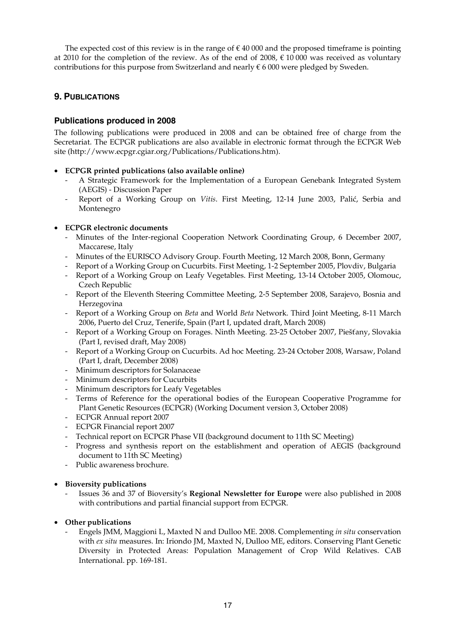The expected cost of this review is in the range of  $\epsilon$  40 000 and the proposed timeframe is pointing at 2010 for the completion of the review. As of the end of 2008,  $\epsilon$  10 000 was received as voluntary contributions for this purpose from Switzerland and nearly  $\epsilon$  6 000 were pledged by Sweden.

## **9. PUBLICATIONS**

## **Publications produced in 2008**

The following publications were produced in 2008 and can be obtained free of charge from the Secretariat. The ECPGR publications are also available in electronic format through the ECPGR Web site (http://www.ecpgr.cgiar.org/Publications/Publications.htm).

- **ECPGR printed publications (also available online)** 
	- A Strategic Framework for the Implementation of a European Genebank Integrated System (AEGIS) - Discussion Paper
	- Report of a Working Group on *Vitis*. First Meeting, 12-14 June 2003, Palić, Serbia and Montenegro

## • **ECPGR electronic documents**

- Minutes of the Inter-regional Cooperation Network Coordinating Group, 6 December 2007, Maccarese, Italy
- Minutes of the EURISCO Advisory Group. Fourth Meeting, 12 March 2008, Bonn, Germany
- Report of a Working Group on Cucurbits. First Meeting, 1-2 September 2005, Plovdiv, Bulgaria
- Report of a Working Group on Leafy Vegetables. First Meeting, 13-14 October 2005, Olomouc, Czech Republic
- Report of the Eleventh Steering Committee Meeting, 2-5 September 2008, Sarajevo, Bosnia and Herzegovina
- Report of a Working Group on *Beta* and World *Beta* Network. Third Joint Meeting, 8-11 March 2006, Puerto del Cruz, Tenerife, Spain (Part I, updated draft, March 2008)
- Report of a Working Group on Forages. Ninth Meeting. 23-25 October 2007, Piešťany, Slovakia (Part I, revised draft, May 2008)
- Report of a Working Group on Cucurbits. Ad hoc Meeting. 23-24 October 2008, Warsaw, Poland (Part I, draft, December 2008)
- Minimum descriptors for Solanaceae
- Minimum descriptors for Cucurbits
- Minimum descriptors for Leafy Vegetables
- Terms of Reference for the operational bodies of the European Cooperative Programme for Plant Genetic Resources (ECPGR) (Working Document version 3, October 2008)
- ECPGR Annual report 2007
- ECPGR Financial report 2007
- Technical report on ECPGR Phase VII (background document to 11th SC Meeting)
- Progress and synthesis report on the establishment and operation of AEGIS (background document to 11th SC Meeting)
- Public awareness brochure.

## • **Bioversity publications**

- Issues 36 and 37 of Bioversity's **Regional Newsletter for Europe** were also published in 2008 with contributions and partial financial support from ECPGR.

## • **Other publications**

- Engels JMM, Maggioni L, Maxted N and Dulloo ME. 2008. Complementing *in situ* conservation with *ex situ* measures. In: Iriondo JM, Maxted N, Dulloo ME, editors. Conserving Plant Genetic Diversity in Protected Areas: Population Management of Crop Wild Relatives. CAB International. pp. 169-181.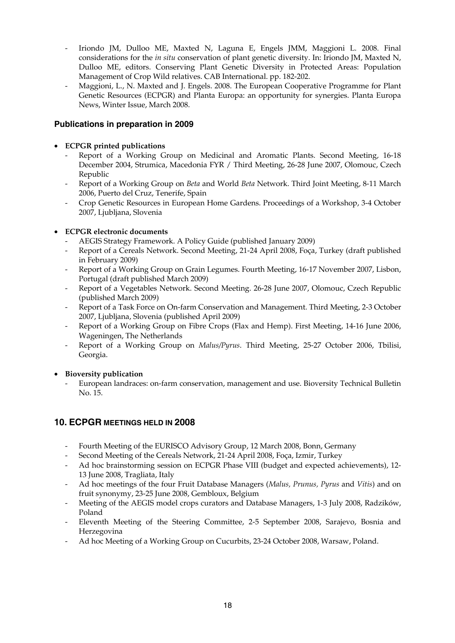- Iriondo JM, Dulloo ME, Maxted N, Laguna E, Engels JMM, Maggioni L. 2008. Final considerations for the *in situ* conservation of plant genetic diversity. In: Iriondo JM, Maxted N, Dulloo ME, editors. Conserving Plant Genetic Diversity in Protected Areas: Population Management of Crop Wild relatives. CAB International. pp. 182-202.
- Maggioni, L., N. Maxted and J. Engels. 2008. The European Cooperative Programme for Plant Genetic Resources (ECPGR) and Planta Europa: an opportunity for synergies. Planta Europa News, Winter Issue, March 2008.

## **Publications in preparation in 2009**

## • **ECPGR printed publications**

- Report of a Working Group on Medicinal and Aromatic Plants. Second Meeting, 16-18 December 2004, Strumica, Macedonia FYR / Third Meeting, 26-28 June 2007, Olomouc, Czech Republic
- Report of a Working Group on *Beta* and World *Beta* Network. Third Joint Meeting, 8-11 March 2006, Puerto del Cruz, Tenerife, Spain
- Crop Genetic Resources in European Home Gardens. Proceedings of a Workshop, 3-4 October 2007, Ljubljana, Slovenia

## • **ECPGR electronic documents**

- AEGIS Strategy Framework. A Policy Guide (published January 2009)
- Report of a Cereals Network. Second Meeting, 21-24 April 2008, Foça, Turkey (draft published in February 2009)
- Report of a Working Group on Grain Legumes. Fourth Meeting, 16-17 November 2007, Lisbon, Portugal (draft published March 2009)
- Report of a Vegetables Network. Second Meeting. 26-28 June 2007, Olomouc, Czech Republic (published March 2009)
- Report of a Task Force on On-farm Conservation and Management. Third Meeting, 2-3 October 2007, Ljubljana, Slovenia (published April 2009)
- Report of a Working Group on Fibre Crops (Flax and Hemp). First Meeting, 14-16 June 2006, Wageningen, The Netherlands
- Report of a Working Group on *Malus/Pyrus*. Third Meeting, 25-27 October 2006, Tbilisi, Georgia.

## • **Bioversity publication**

- European landraces: on-farm conservation, management and use. Bioversity Technical Bulletin No. 15.

## **10. ECPGR MEETINGS HELD IN 2008**

- Fourth Meeting of the EURISCO Advisory Group, 12 March 2008, Bonn, Germany
- Second Meeting of the Cereals Network, 21-24 April 2008, Foça, Izmir, Turkey
- Ad hoc brainstorming session on ECPGR Phase VIII (budget and expected achievements), 12- 13 June 2008, Tragliata, Italy
- Ad hoc meetings of the four Fruit Database Managers (*Malus, Prunus, Pyrus* and *Vitis*) and on fruit synonymy, 23-25 June 2008, Gembloux, Belgium
- Meeting of the AEGIS model crops curators and Database Managers, 1-3 July 2008, Radzików, Poland
- Eleventh Meeting of the Steering Committee, 2-5 September 2008, Sarajevo, Bosnia and Herzegovina
- Ad hoc Meeting of a Working Group on Cucurbits, 23-24 October 2008, Warsaw, Poland.